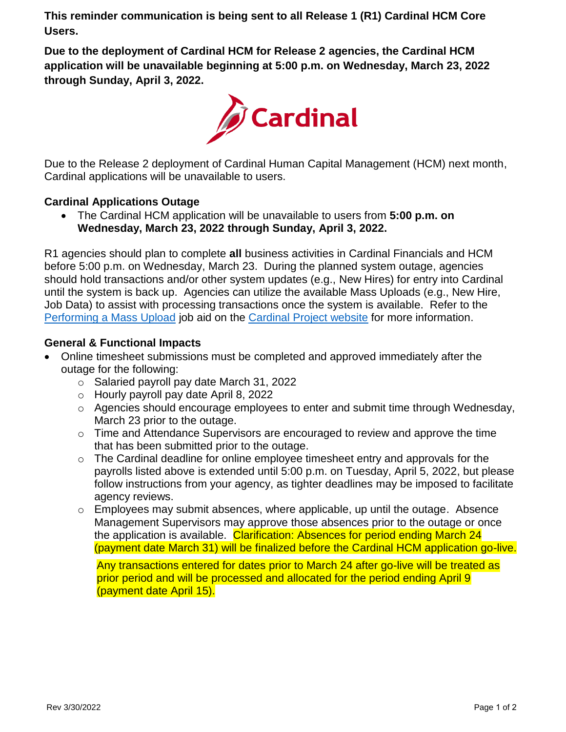**This reminder communication is being sent to all Release 1 (R1) Cardinal HCM Core Users.**

**Due to the deployment of Cardinal HCM for Release 2 agencies, the Cardinal HCM application will be unavailable beginning at 5:00 p.m. on Wednesday, March 23, 2022 through Sunday, April 3, 2022.**



Due to the Release 2 deployment of Cardinal Human Capital Management (HCM) next month, Cardinal applications will be unavailable to users.

# **Cardinal Applications Outage**

 The Cardinal HCM application will be unavailable to users from **5:00 p.m. on Wednesday, March 23, 2022 through Sunday, April 3, 2022.**

R1 agencies should plan to complete **all** business activities in Cardinal Financials and HCM before 5:00 p.m. on Wednesday, March 23. During the planned system outage, agencies should hold transactions and/or other system updates (e.g., New Hires) for entry into Cardinal until the system is back up. Agencies can utilize the available Mass Uploads (e.g., New Hire, Job Data) to assist with processing transactions once the system is available. Refer to the Performing a Mass Upload job aid on the [Cardinal Project website](https://www.cardinalproject.virginia.gov/sites/default/files/2021-04/Cardinal%20Agency%20Okta%20Classification.pdf) for more information.

# **General & Functional Impacts**

- Online timesheet submissions must be completed and approved immediately after the outage for the following:
	- o Salaried payroll pay date March 31, 2022
	- o Hourly payroll pay date April 8, 2022
	- o Agencies should encourage employees to enter and submit time through Wednesday, March 23 prior to the outage.
	- o Time and Attendance Supervisors are encouraged to review and approve the time [that has been sub](https://www.cardinalproject.virginia.gov/sites/default/files/2021-10/Cross%20Functional_Performing%20a%20Mass%20Upload.pdf)mitted prior to the outage.
	- $\circ$  The Cardinal deadline for online employee timesheet entry and approvals for the payrolls listed above is extended until 5:00 p.m. on Tuesday, April 5, 2022, but please follow instructions from your agency, as tighter deadlines may be imposed to facilitate agency reviews.
	- o Employees may submit absences, where applicable, up until the outage. Absence Management Supervisors may approve those absences prior to the outage or once the application is available. Clarification: Absences for period ending March 24 (payment date March 31) will be finalized before the Cardinal HCM application go-live.

Any transactions entered for dates prior to March 24 after go-live will be treated as prior period and will be processed and allocated for the period ending April 9 (payment date April 15).